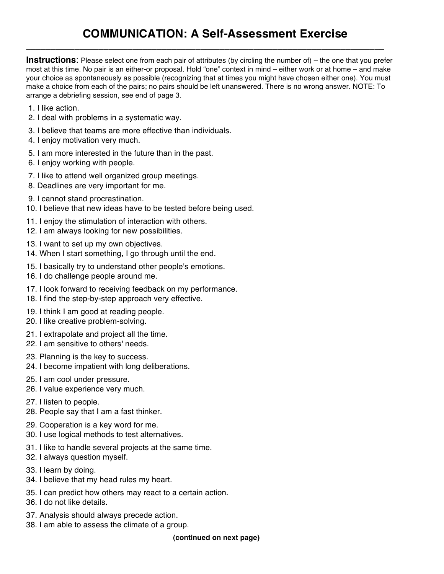## **COMMUNICATION: A Self-Assessment Exercise**

**Instructions**: Please select one from each pair of attributes (by circling the number of) – the one that you prefer most at this time. No pair is an either-or proposal. Hold "one" context in mind – either work or at home – and make your choice as spontaneously as possible (recognizing that at times you might have chosen either one). You must make a choice from each of the pairs; no pairs should be left unanswered. There is no wrong answer. NOTE: To arrange a debriefing session, see end of page 3.

\_\_\_\_\_\_\_\_\_\_\_\_\_\_\_\_\_\_\_\_\_\_\_\_\_\_\_\_\_\_\_\_\_\_\_\_\_\_\_\_\_\_\_\_\_\_\_\_\_\_\_\_\_\_\_\_\_\_\_\_\_\_\_\_\_\_\_\_\_\_\_\_\_\_

- 1. I like action.
- 2. I deal with problems in a systematic way.
- 3. I believe that teams are more effective than individuals.
- 4. I enjoy motivation very much.
- 5. I am more interested in the future than in the past.
- 6. I enjoy working with people.
- 7. I like to attend well organized group meetings.
- 8. Deadlines are very important for me.
- 9. I cannot stand procrastination.
- 10. I believe that new ideas have to be tested before being used.
- 11. I enjoy the stimulation of interaction with others.
- 12. I am always looking for new possibilities.
- 13. I want to set up my own objectives.
- 14. When I start something, I go through until the end.
- 15. I basically try to understand other people's emotions.
- 16. I do challenge people around me.
- 17. I look forward to receiving feedback on my performance.
- 18. I find the step-by-step approach very effective.
- 19. I think I am good at reading people.
- 20. I like creative problem-solving.
- 21. I extrapolate and project all the time.
- 22. I am sensitive to others' needs.
- 23. Planning is the key to success.
- 24. I become impatient with long deliberations.
- 25. I am cool under pressure.
- 26. I value experience very much.
- 27. I listen to people.
- 28. People say that I am a fast thinker.
- 29. Cooperation is a key word for me.
- 30. I use logical methods to test alternatives.
- 31. I like to handle several projects at the same time.
- 32. I always question myself.
- 33. I learn by doing.
- 34. I believe that my head rules my heart.
- 35. I can predict how others may react to a certain action.
- 36. I do not like details.
- 37. Analysis should always precede action.
- 38. I am able to assess the climate of a group.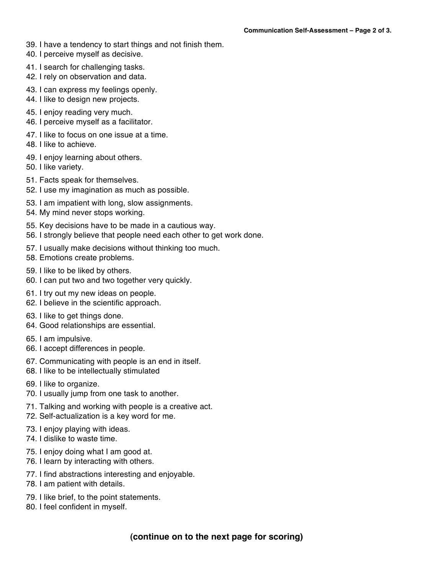- 39. I have a tendency to start things and not finish them.
- 40. I perceive myself as decisive.
- 41. I search for challenging tasks.
- 42. I rely on observation and data.
- 43. I can express my feelings openly.
- 44. I like to design new projects.
- 45. I enjoy reading very much.
- 46. I perceive myself as a facilitator.
- 47. I like to focus on one issue at a time.
- 48. I like to achieve.
- 49. I enjoy learning about others.
- 50. I like variety.
- 51. Facts speak for themselves.
- 52. I use my imagination as much as possible.
- 53. I am impatient with long, slow assignments.
- 54. My mind never stops working.
- 55. Key decisions have to be made in a cautious way.
- 56. I strongly believe that people need each other to get work done.
- 57. I usually make decisions without thinking too much.
- 58. Emotions create problems.
- 59. I like to be liked by others.
- 60. I can put two and two together very quickly.
- 61. I try out my new ideas on people.
- 62. I believe in the scientific approach.
- 63. I like to get things done.
- 64. Good relationships are essential.
- 65. I am impulsive.
- 66. I accept differences in people.
- 67. Communicating with people is an end in itself.
- 68. I like to be intellectually stimulated
- 69. I like to organize.
- 70. I usually jump from one task to another.
- 71. Talking and working with people is a creative act.
- 72. Self-actualization is a key word for me.
- 73. I enjoy playing with ideas.
- 74. I dislike to waste time.
- 75. I enjoy doing what I am good at.
- 76. I learn by interacting with others.
- 77. I find abstractions interesting and enjoyable.
- 78. I am patient with details.
- 79. I like brief, to the point statements.
- 80. I feel confident in myself.